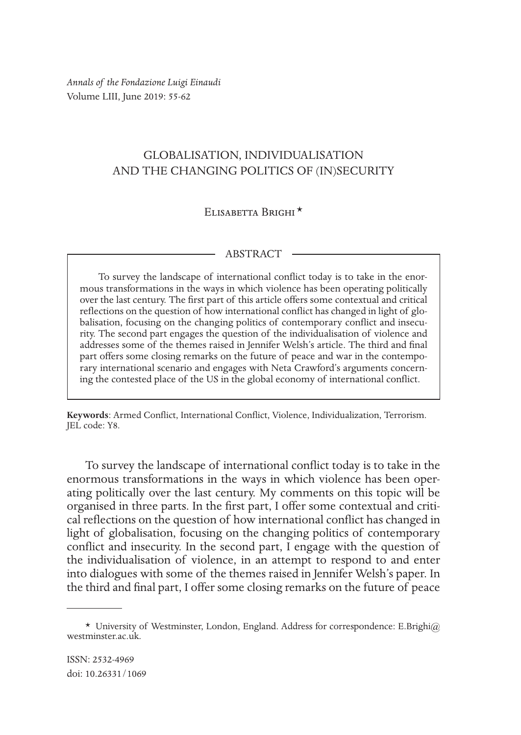*Annals of the Fondazione Luigi Einaudi* Volume LIII, June 2019: 55-62

## GLOBALISATION, INDIVIDUALISATION AND THE CHANGING POLITICS OF (IN)SECURITY

## Elisabetta Brighi \*1

## ABSTRACT

To survey the landscape of international conflict today is to take in the enormous transformations in the ways in which violence has been operating politically over the last century. The first part of this article offers some contextual and critical reflections on the question of how international conflict has changed in light of globalisation, focusing on the changing politics of contemporary conflict and insecurity. The second part engages the question of the individualisation of violence and addresses some of the themes raised in Jennifer Welsh's article. The third and final part offers some closing remarks on the future of peace and war in the contemporary international scenario and engages with Neta Crawford's arguments concerning the contested place of the US in the global economy of international conflict.

**Keywords**: Armed Conflict, International Conflict, Violence, Individualization, Terrorism. JEL code: Y8.

To survey the landscape of international conflict today is to take in the enormous transformations in the ways in which violence has been operating politically over the last century. My comments on this topic will be organised in three parts. In the first part, I offer some contextual and critical reflections on the question of how international conflict has changed in light of globalisation, focusing on the changing politics of contemporary conflict and insecurity. In the second part, I engage with the question of the individualisation of violence, in an attempt to respond to and enter into dialogues with some of the themes raised in Jennifer Welsh's paper. In the third and final part, I offer some closing remarks on the future of peace

<sup>\*</sup> University of Westminster, London, England. Address for correspondence: E.Brighi@ westminster.ac.uk.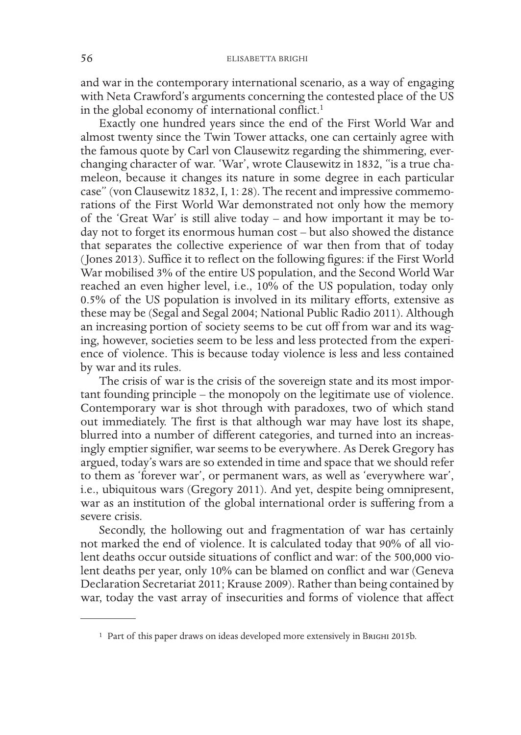and war in the contemporary international scenario, as a way of engaging with Neta Crawford's arguments concerning the contested place of the US in the global economy of international conflict.<sup>1</sup>

Exactly one hundred years since the end of the First World War and almost twenty since the Twin Tower attacks, one can certainly agree with the famous quote by Carl von Clausewitz regarding the shimmering, everchanging character of war. 'War', wrote Clausewitz in 1832, "is a true chameleon, because it changes its nature in some degree in each particular case" (von Clausewitz 1832, I, 1: 28). The recent and impressive commemorations of the First World War demonstrated not only how the memory of the 'Great War' is still alive today – and how important it may be today not to forget its enormous human cost – but also showed the distance that separates the collective experience of war then from that of today (Jones 2013). Suffice it to reflect on the following figures: if the First World War mobilised 3% of the entire US population, and the Second World War reached an even higher level, i.e., 10% of the US population, today only 0.5% of the US population is involved in its military efforts, extensive as these may be (Segal and Segal 2004; National Public Radio 2011). Although an increasing portion of society seems to be cut off from war and its waging, however, societies seem to be less and less protected from the experience of violence. This is because today violence is less and less contained by war and its rules.

The crisis of war is the crisis of the sovereign state and its most important founding principle – the monopoly on the legitimate use of violence. Contemporary war is shot through with paradoxes, two of which stand out immediately. The first is that although war may have lost its shape, blurred into a number of different categories, and turned into an increasingly emptier signifier, war seems to be everywhere. As Derek Gregory has argued, today's wars are so extended in time and space that we should refer to them as 'forever war', or permanent wars, as well as 'everywhere war', i.e., ubiquitous wars (Gregory 2011). And yet, despite being omnipresent, war as an institution of the global international order is suffering from a severe crisis.

Secondly, the hollowing out and fragmentation of war has certainly not marked the end of violence. It is calculated today that 90% of all violent deaths occur outside situations of conflict and war: of the 500,000 violent deaths per year, only 10% can be blamed on conflict and war (Geneva Declaration Secretariat 2011; Krause 2009). Rather than being contained by war, today the vast array of insecurities and forms of violence that affect

<sup>&</sup>lt;sup>1</sup> Part of this paper draws on ideas developed more extensively in BRIGHI 2015b.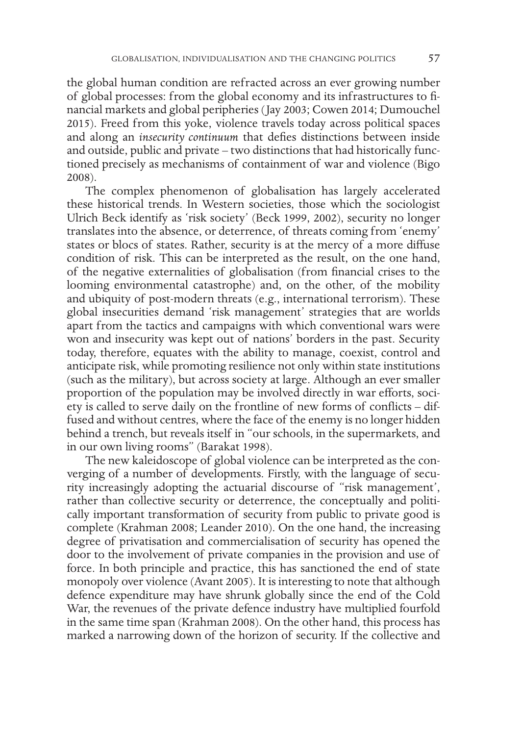the global human condition are refracted across an ever growing number of global processes: from the global economy and its infrastructures to financial markets and global peripheries (Jay 2003; Cowen 2014; Dumouchel 2015). Freed from this yoke, violence travels today across political spaces and along an *insecurity continuum* that defies distinctions between inside and outside, public and private – two distinctions that had historically functioned precisely as mechanisms of containment of war and violence (Bigo 2008).

The complex phenomenon of globalisation has largely accelerated these historical trends. In Western societies, those which the sociologist Ulrich Beck identify as 'risk society' (Beck 1999, 2002), security no longer translates into the absence, or deterrence, of threats coming from 'enemy' states or blocs of states. Rather, security is at the mercy of a more diffuse condition of risk. This can be interpreted as the result, on the one hand, of the negative externalities of globalisation (from financial crises to the looming environmental catastrophe) and, on the other, of the mobility and ubiquity of post-modern threats (e.g., international terrorism). These global insecurities demand 'risk management' strategies that are worlds apart from the tactics and campaigns with which conventional wars were won and insecurity was kept out of nations' borders in the past. Security today, therefore, equates with the ability to manage, coexist, control and anticipate risk, while promoting resilience not only within state institutions (such as the military), but across society at large. Although an ever smaller proportion of the population may be involved directly in war efforts, society is called to serve daily on the frontline of new forms of conflicts – diffused and without centres, where the face of the enemy is no longer hidden behind a trench, but reveals itself in "our schools, in the supermarkets, and in our own living rooms" (Barakat 1998).

The new kaleidoscope of global violence can be interpreted as the converging of a number of developments. Firstly, with the language of security increasingly adopting the actuarial discourse of "risk management', rather than collective security or deterrence, the conceptually and politically important transformation of security from public to private good is complete (Krahman 2008; Leander 2010). On the one hand, the increasing degree of privatisation and commercialisation of security has opened the door to the involvement of private companies in the provision and use of force. In both principle and practice, this has sanctioned the end of state monopoly over violence (Avant 2005). It is interesting to note that although defence expenditure may have shrunk globally since the end of the Cold War, the revenues of the private defence industry have multiplied fourfold in the same time span (Krahman 2008). On the other hand, this process has marked a narrowing down of the horizon of security. If the collective and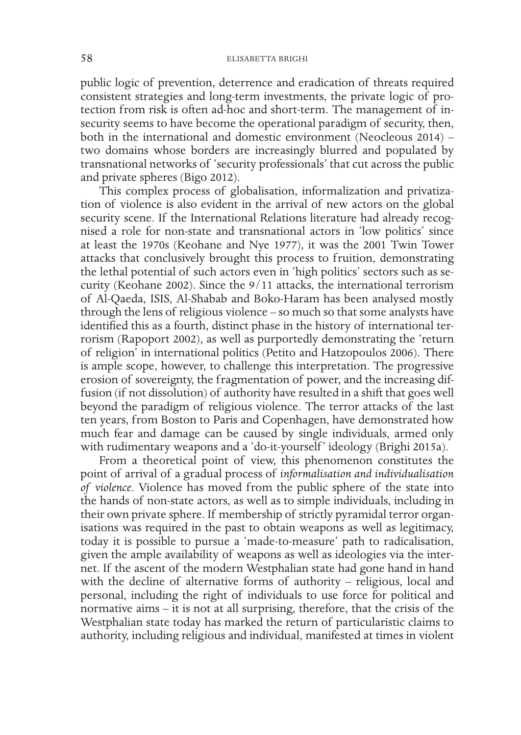public logic of prevention, deterrence and eradication of threats required consistent strategies and long-term investments, the private logic of protection from risk is often ad-hoc and short-term. The management of insecurity seems to have become the operational paradigm of security, then, both in the international and domestic environment (Neocleous 2014) – two domains whose borders are increasingly blurred and populated by transnational networks of 'security professionals' that cut across the public and private spheres (Bigo 2012).

This complex process of globalisation, informalization and privatization of violence is also evident in the arrival of new actors on the global security scene. If the International Relations literature had already recognised a role for non-state and transnational actors in 'low politics' since at least the 1970s (Keohane and Nye 1977), it was the 2001 Twin Tower attacks that conclusively brought this process to fruition, demonstrating the lethal potential of such actors even in 'high politics' sectors such as security (Keohane 2002). Since the 9/11 attacks, the international terrorism of Al-Qaeda, ISIS, Al-Shabab and Boko-Haram has been analysed mostly through the lens of religious violence – so much so that some analysts have identified this as a fourth, distinct phase in the history of international terrorism (Rapoport 2002), as well as purportedly demonstrating the 'return of religion' in international politics (Petito and Hatzopoulos 2006). There is ample scope, however, to challenge this interpretation. The progressive erosion of sovereignty, the fragmentation of power, and the increasing diffusion (if not dissolution) of authority have resulted in a shift that goes well beyond the paradigm of religious violence. The terror attacks of the last ten years, from Boston to Paris and Copenhagen, have demonstrated how much fear and damage can be caused by single individuals, armed only with rudimentary weapons and a 'do-it-yourself' ideology (Brighi 2015a).

From a theoretical point of view, this phenomenon constitutes the point of arrival of a gradual process of *informalisation and individualisation of violence*. Violence has moved from the public sphere of the state into the hands of non-state actors, as well as to simple individuals, including in their own private sphere. If membership of strictly pyramidal terror organisations was required in the past to obtain weapons as well as legitimacy, today it is possible to pursue a 'made-to-measure' path to radicalisation, given the ample availability of weapons as well as ideologies via the internet. If the ascent of the modern Westphalian state had gone hand in hand with the decline of alternative forms of authority - religious, local and personal, including the right of individuals to use force for political and normative aims – it is not at all surprising, therefore, that the crisis of the Westphalian state today has marked the return of particularistic claims to authority, including religious and individual, manifested at times in violent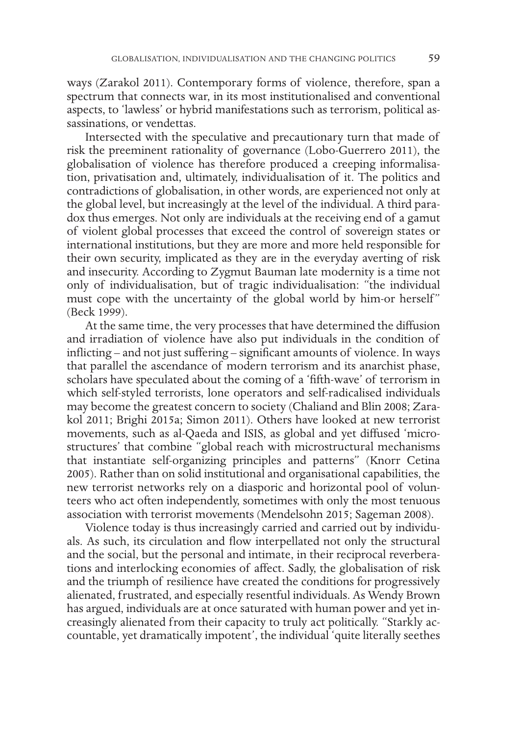ways (Zarakol 2011). Contemporary forms of violence, therefore, span a spectrum that connects war, in its most institutionalised and conventional aspects, to 'lawless' or hybrid manifestations such as terrorism, political assassinations, or vendettas.

Intersected with the speculative and precautionary turn that made of risk the preeminent rationality of governance (Lobo-Guerrero 2011), the globalisation of violence has therefore produced a creeping informalisation, privatisation and, ultimately, individualisation of it. The politics and contradictions of globalisation, in other words, are experienced not only at the global level, but increasingly at the level of the individual. A third paradox thus emerges. Not only are individuals at the receiving end of a gamut of violent global processes that exceed the control of sovereign states or international institutions, but they are more and more held responsible for their own security, implicated as they are in the everyday averting of risk and insecurity. According to Zygmut Bauman late modernity is a time not only of individualisation, but of tragic individualisation: "the individual must cope with the uncertainty of the global world by him-or herself" (Beck 1999).

At the same time, the very processes that have determined the diffusion and irradiation of violence have also put individuals in the condition of inflicting – and not just suffering – significant amounts of violence. In ways that parallel the ascendance of modern terrorism and its anarchist phase, scholars have speculated about the coming of a 'fifth-wave' of terrorism in which self-styled terrorists, lone operators and self-radicalised individuals may become the greatest concern to society (Chaliand and Blin 2008; Zarakol 2011; Brighi 2015a; Simon 2011). Others have looked at new terrorist movements, such as al-Qaeda and ISIS, as global and yet diffused 'microstructures' that combine "global reach with microstructural mechanisms that instantiate self-organizing principles and patterns" (Knorr Cetina 2005). Rather than on solid institutional and organisational capabilities, the new terrorist networks rely on a diasporic and horizontal pool of volunteers who act often independently, sometimes with only the most tenuous association with terrorist movements (Mendelsohn 2015; Sageman 2008).

Violence today is thus increasingly carried and carried out by individuals. As such, its circulation and flow interpellated not only the structural and the social, but the personal and intimate, in their reciprocal reverberations and interlocking economies of affect. Sadly, the globalisation of risk and the triumph of resilience have created the conditions for progressively alienated, frustrated, and especially resentful individuals. As Wendy Brown has argued, individuals are at once saturated with human power and yet increasingly alienated from their capacity to truly act politically. "Starkly accountable, yet dramatically impotent', the individual 'quite literally seethes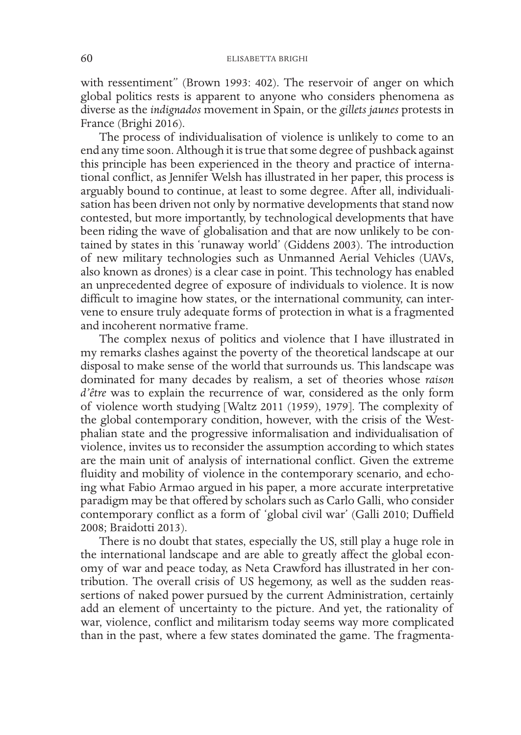with ressentiment" (Brown 1993: 402). The reservoir of anger on which global politics rests is apparent to anyone who considers phenomena as diverse as the *indignados* movement in Spain, or the *gillets jaunes* protests in France (Brighi 2016).

The process of individualisation of violence is unlikely to come to an end any time soon. Although it is true that some degree of pushback against this principle has been experienced in the theory and practice of international conflict, as Jennifer Welsh has illustrated in her paper, this process is arguably bound to continue, at least to some degree. After all, individualisation has been driven not only by normative developments that stand now contested, but more importantly, by technological developments that have been riding the wave of globalisation and that are now unlikely to be contained by states in this 'runaway world' (Giddens 2003). The introduction of new military technologies such as Unmanned Aerial Vehicles (UAVs, also known as drones) is a clear case in point. This technology has enabled an unprecedented degree of exposure of individuals to violence. It is now difficult to imagine how states, or the international community, can intervene to ensure truly adequate forms of protection in what is a fragmented and incoherent normative frame.

The complex nexus of politics and violence that I have illustrated in my remarks clashes against the poverty of the theoretical landscape at our disposal to make sense of the world that surrounds us. This landscape was dominated for many decades by realism, a set of theories whose *raison d'être* was to explain the recurrence of war, considered as the only form of violence worth studying [Waltz 2011 (1959), 1979]. The complexity of the global contemporary condition, however, with the crisis of the Westphalian state and the progressive informalisation and individualisation of violence, invites us to reconsider the assumption according to which states are the main unit of analysis of international conflict. Given the extreme fluidity and mobility of violence in the contemporary scenario, and echoing what Fabio Armao argued in his paper, a more accurate interpretative paradigm may be that offered by scholars such as Carlo Galli, who consider contemporary conflict as a form of 'global civil war' (Galli 2010; Duffield 2008; Braidotti 2013).

There is no doubt that states, especially the US, still play a huge role in the international landscape and are able to greatly affect the global economy of war and peace today, as Neta Crawford has illustrated in her contribution. The overall crisis of US hegemony, as well as the sudden reassertions of naked power pursued by the current Administration, certainly add an element of uncertainty to the picture. And yet, the rationality of war, violence, conflict and militarism today seems way more complicated than in the past, where a few states dominated the game. The fragmenta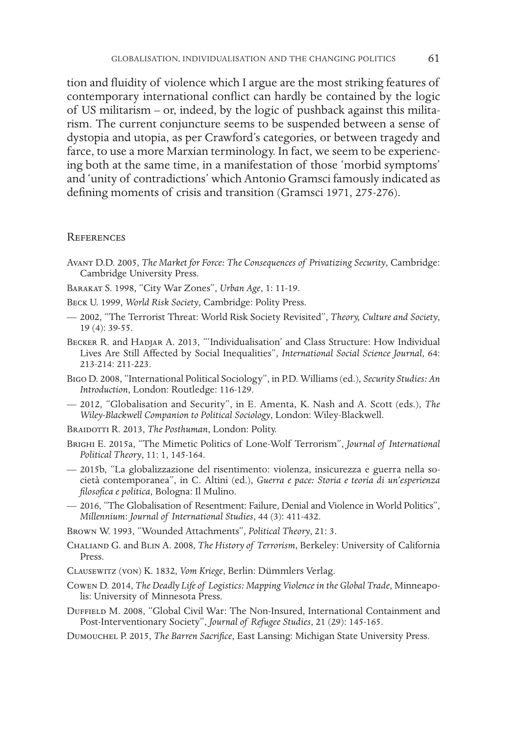tion and fluidity of violence which I argue are the most striking features of contemporary international conflict can hardly be contained by the logic of US militarism – or, indeed, by the logic of pushback against this militarism. The current conjuncture seems to be suspended between a sense of dystopia and utopia, as per Crawford's categories, or between tragedy and farce, to use a more Marxian terminology. In fact, we seem to be experiencing both at the same time, in a manifestation of those 'morbid symptoms' and 'unity of contradictions' which Antonio Gramsci famously indicated as defining moments of crisis and transition (Gramsci 1971, 275-276).

## **REFERENCES**

- Avant D.D. 2005, *The Market for Force: The Consequences of Privatizing Security*, Cambridge: Cambridge University Press.
- Barakat S. 1998, "City War Zones", *Urban Age*, 1: 11-19.
- Beck U. 1999, *World Risk Society*, Cambridge: Polity Press.
- 2002, "The Terrorist Threat: World Risk Society Revisited", *Theory, Culture and Society*, 19 (4): 39-55.
- Becker R. and Hadjar A. 2013, "'Individualisation' and Class Structure: How Individual Lives Are Still Affected by Social Inequalities", *International Social Science Journal*, 64: 213-214: 211-223.
- Bigo D. 2008, "International Political Sociology", in P.D. Williams (ed.), *Security Studies: An Introduction*, London: Routledge: 116-129.
- 2012, "Globalisation and Security", in E. Amenta, K. Nash and A. Scott (eds.), *The Wiley-Blackwell Companion to Political Sociology*, London: Wiley-Blackwell.
- Braidotti R. 2013, *The Posthuman*, London: Polity.
- Brighi E. 2015a, "The Mimetic Politics of Lone-Wolf Terrorism", *Journal of International Political Theory*, 11: 1, 145-164.
- 2015b, "La globalizzazione del risentimento: violenza, insicurezza e guerra nella società contemporanea", in C. Altini (ed.), *Guerra e pace: Storia e teoria di un'esperienza filosofica e politica*, Bologna: Il Mulino.
- 2016, "The Globalisation of Resentment: Failure, Denial and Violence in World Politics", *Millennium*: *Journal of International Studies*, 44 (3): 411-432.
- Brown W. 1993, "Wounded Attachments", *Political Theory*, 21: 3.
- Chaliand G. and Blin A. 2008, *The History of Terrorism*, Berkeley: University of California Press.
- Clausewitz (von) K. 1832, *Vom Kriege*, Berlin: Dümmlers Verlag.
- Cowen D. 2014, *The Deadly Life of Logistics: Mapping Violence in the Global Trade*, Minneapolis: University of Minnesota Press.
- Duffield M. 2008, "Global Civil War: The Non-Insured, International Containment and Post-Interventionary Society", *Journal of Refugee Studies*, 21 (29): 145-165.
- Dumouchel P. 2015, *The Barren Sacrifice*, East Lansing: Michigan State University Press.